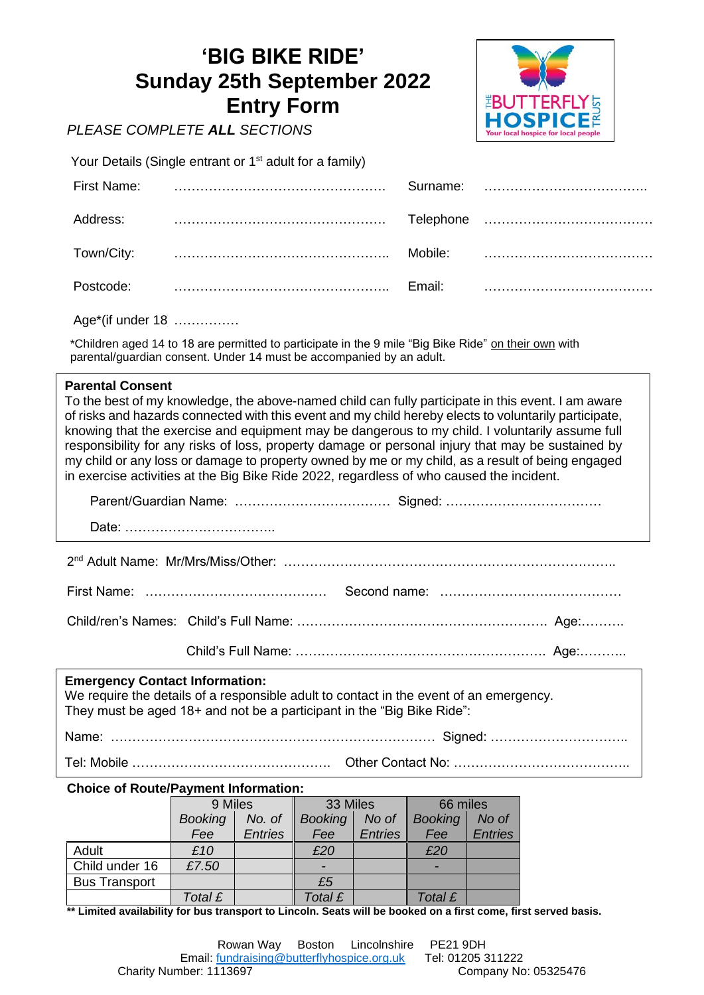## **'BIG BIKE RIDE' Sunday 25th September 2022 Entry Form**



# *PLEASE COMPLETE ALL SECTIONS*

Your Details (Single entrant or 1<sup>st</sup> adult for a family)

| First Name: | Surname:            |  |
|-------------|---------------------|--|
| Address:    |                     |  |
| Town/City:  | Mobile <sup>.</sup> |  |
| Postcode:   | Fmail <sup>-</sup>  |  |

Age\*(if under 18) ……………

\*Children aged 14 to 18 are permitted to participate in the 9 mile "Big Bike Ride" on their own with parental/guardian consent. Under 14 must be accompanied by an adult.

## **Parental Consent**

To the best of my knowledge, the above-named child can fully participate in this event. I am aware of risks and hazards connected with this event and my child hereby elects to voluntarily participate, knowing that the exercise and equipment may be dangerous to my child. I voluntarily assume full responsibility for any risks of loss, property damage or personal injury that may be sustained by my child or any loss or damage to property owned by me or my child, as a result of being engaged in exercise activities at the Big Bike Ride 2022, regardless of who caused the incident.

First Name: …………………………………… Second name: ……………………………………

Child/ren's Names: Child's Full Name: …………………………………………………. Age:……….

Child's Full Name: …………………………………………………. Age:………..

### Child's Full Name: …………………………………………………. Age:……….. **Emergency Contact Information:**

We require the details of a responsible adult to contact in the event of an emergency. They must be aged 18+ and not be a participant in the "Big Bike Ride":

Name: ………………………………………………………………… Signed: ………………………….. Tel: Mobile ………………………………………. Other Contact No: …………………………………..

## **Choice of Route/Payment Information:**

|                      | 9 Miles        |                | 33 Miles       |                | 66 miles       |                |
|----------------------|----------------|----------------|----------------|----------------|----------------|----------------|
|                      | <b>Booking</b> | No. of         | <b>Booking</b> | No of          | <b>Booking</b> | No of          |
|                      | Fee            | <b>Entries</b> | Fee            | <b>Entries</b> | Fee            | <b>Entries</b> |
| Adult                | £10            |                | £20            |                | £20            |                |
| Child under 16       | £7.50          |                |                |                |                |                |
| <b>Bus Transport</b> |                |                | £5             |                |                |                |
|                      | Total £        |                | Total £        |                | Total £        |                |

**\*\* Limited availability for bus transport to Lincoln. Seats will be booked on a first come, first served basis.**